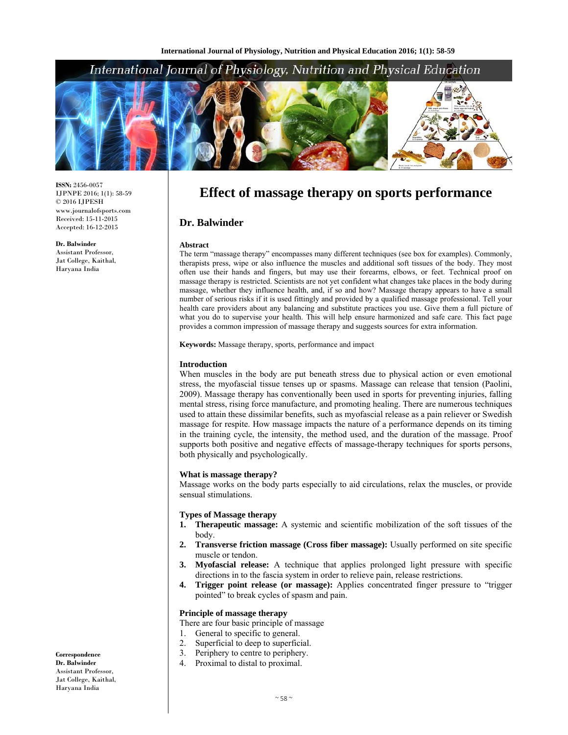## International Journal of Physiology, Nutrition and Physical Education



**ISSN:** 2456-0057 IJPNPE 2016; 1(1): 58-59 © 2016 IJPESH www.journalofsports.com Received: 15-11-2015 Accepted: 16-12-2015

**Dr. Balwinder**  Assistant Professor, Jat College, Kaithal, Haryana India

# **Effect of massage therapy on sports performance**

#### **Dr. Balwinder**

#### **Abstract**

The term "massage therapy" encompasses many different techniques (see box for examples). Commonly, therapists press, wipe or also influence the muscles and additional soft tissues of the body. They most often use their hands and fingers, but may use their forearms, elbows, or feet. Technical proof on massage therapy is restricted. Scientists are not yet confident what changes take places in the body during massage, whether they influence health, and, if so and how? Massage therapy appears to have a small number of serious risks if it is used fittingly and provided by a qualified massage professional. Tell your health care providers about any balancing and substitute practices you use. Give them a full picture of what you do to supervise your health. This will help ensure harmonized and safe care. This fact page provides a common impression of massage therapy and suggests sources for extra information.

**Keywords:** Massage therapy, sports, performance and impact

#### **Introduction**

When muscles in the body are put beneath stress due to physical action or even emotional stress, the myofascial tissue tenses up or spasms. Massage can release that tension (Paolini, 2009). Massage therapy has conventionally been used in sports for preventing injuries, falling mental stress, rising force manufacture, and promoting healing. There are numerous techniques used to attain these dissimilar benefits, such as myofascial release as a pain reliever or Swedish massage for respite. How massage impacts the nature of a performance depends on its timing in the training cycle, the intensity, the method used, and the duration of the massage. Proof supports both positive and negative effects of massage-therapy techniques for sports persons, both physically and psychologically.

#### **What is massage therapy?**

Massage works on the body parts especially to aid circulations, relax the muscles, or provide sensual stimulations.

#### **Types of Massage therapy**

- **1. Therapeutic massage:** A systemic and scientific mobilization of the soft tissues of the body.
- **2. Transverse friction massage (Cross fiber massage):** Usually performed on site specific muscle or tendon.
- **3. Myofascial release:** A technique that applies prolonged light pressure with specific directions in to the fascia system in order to relieve pain, release restrictions.
- **4. Trigger point release (or massage):** Applies concentrated finger pressure to "trigger pointed" to break cycles of spasm and pain.

## **Principle of massage therapy**

- There are four basic principle of massage
- 1. General to specific to general.
- 2. Superficial to deep to superficial.
- 3. Periphery to centre to periphery.
- 4. Proximal to distal to proximal.

**Correspondence Dr. Balwinder**  Assistant Professor, Jat College, Kaithal, Haryana India